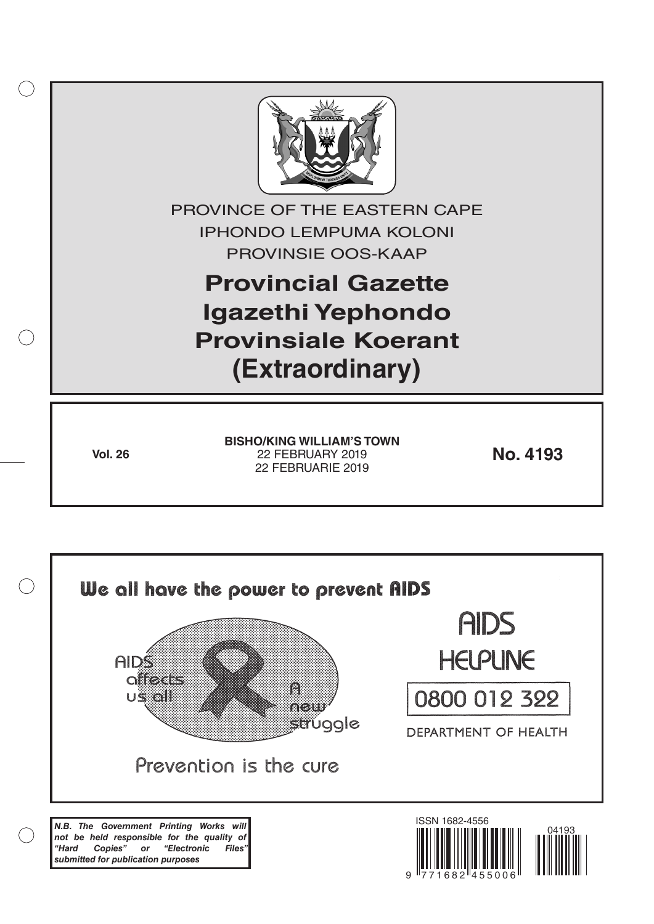

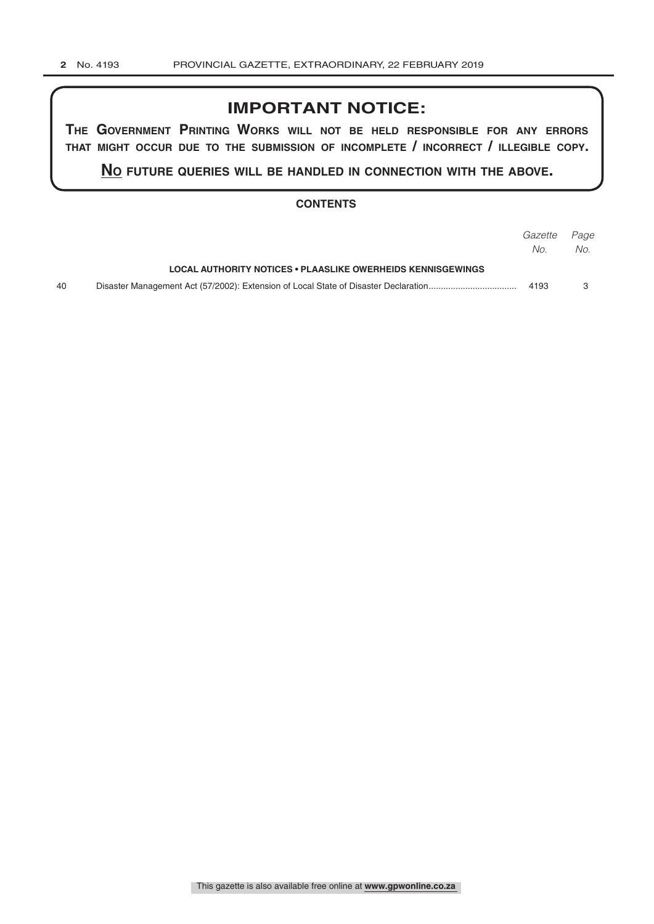## **IMPORTANT NOTICE:**

**The GovernmenT PrinTinG Works Will noT be held resPonsible for any errors ThaT miGhT occur due To The submission of incomPleTe / incorrecT / illeGible coPy.**

**no fuTure queries Will be handled in connecTion WiTh The above.**

#### **CONTENTS**

|    |                                                             | <i>Gazette Page</i> |     |
|----|-------------------------------------------------------------|---------------------|-----|
|    |                                                             | No.                 | No. |
|    | LOCAL AUTHORITY NOTICES . PLAASLIKE OWERHEIDS KENNISGEWINGS |                     |     |
| 40 |                                                             | 4193                |     |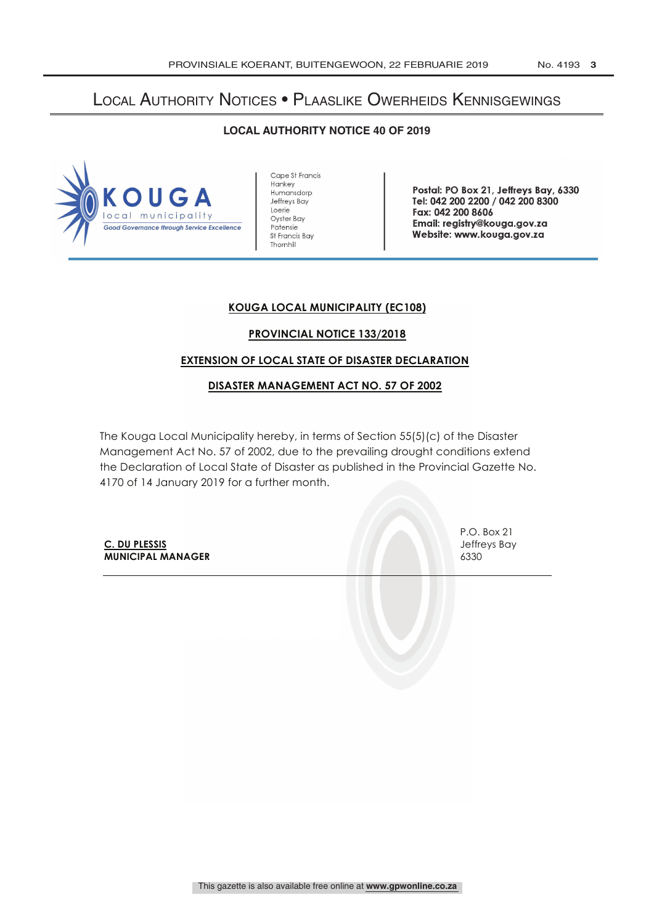# Local Authority Notices • Plaaslike Owerheids Kennisgewings

#### **LOCAL AUTHORITY NOTICE 40 OF 2019**



Cape St Francis **Hankey** Humansdorp Jeffreys Bay Loerie Oyster Bay Patensie St Francis Bay Thornhill

Postal: PO Box 21, Jeffreys Bay, 6330 Tel: 042 200 2200 / 042 200 8300 Fax: 042 200 8606 Email: registry @kouga.gov.za Website: www.kouga.gov.za

## **KOUGA LOCAL MUNICIPALITY (EC108)**

## **PROVINCIAL NOTICE 133/2018**

## **EXTENSION OF LOCAL STATE OF DISASTER DECLARATION**

#### **DISASTER MANAGEMENT ACT NO. 57 OF 2002**

The Kouga Local Municipality hereby, in terms of Section 55(5)(c) of the Disaster Management Act No. 57 of 2002, due to the prevailing drought conditions extend the Declaration of Local State of Disaster as published in the Provincial Gazette No. 4170 of 14 January 2019 for a further month.

**C. DU PLESSIS** Jeffreys Bay **MUNICIPAL MANAGER** 6330

P.O. Box 21

This gazette is also available free online at **www.gpwonline.co.za**